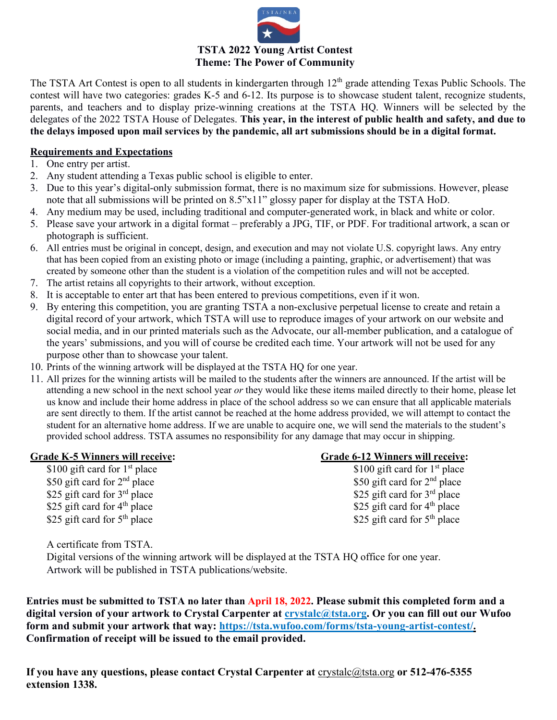

## **TSTA 2022 Young Artist Contest Theme: The Power of Community**

The TSTA Art Contest is open to all students in kindergarten through  $12<sup>th</sup>$  grade attending Texas Public Schools. The contest will have two categories: grades K-5 and 6-12. Its purpose is to showcase student talent, recognize students, parents, and teachers and to display prize-winning creations at the TSTA HQ. Winners will be selected by the delegates of the 2022 TSTA House of Delegates. **This year, in the interest of public health and safety, and due to the delays imposed upon mail services by the pandemic, all art submissions should be in a digital format.**

### **Requirements and Expectations**

- 1. One entry per artist.
- 2. Any student attending a Texas public school is eligible to enter.
- 3. Due to this year's digital-only submission format, there is no maximum size for submissions. However, please note that all submissions will be printed on 8.5"x11" glossy paper for display at the TSTA HoD.
- 4. Any medium may be used, including traditional and computer-generated work, in black and white or color.
- 5. Please save your artwork in a digital format preferably a JPG, TIF, or PDF. For traditional artwork, a scan or photograph is sufficient.
- 6. All entries must be original in concept, design, and execution and may not violate U.S. copyright laws. Any entry that has been copied from an existing photo or image (including a painting, graphic, or advertisement) that was created by someone other than the student is a violation of the competition rules and will not be accepted.
- 7. The artist retains all copyrights to their artwork, without exception.
- 8. It is acceptable to enter art that has been entered to previous competitions, even if it won.
- 9. By entering this competition, you are granting TSTA a non-exclusive perpetual license to create and retain a digital record of your artwork, which TSTA will use to reproduce images of your artwork on our website and social media, and in our printed materials such as the Advocate, our all-member publication, and a catalogue of the years' submissions, and you will of course be credited each time. Your artwork will not be used for any purpose other than to showcase your talent.
- 10. Prints of the winning artwork will be displayed at the TSTA HQ for one year.
- 11. All prizes for the winning artists will be mailed to the students after the winners are announced. If the artist will be attending a new school in the next school year *or* they would like these items mailed directly to their home, please let us know and include their home address in place of the school address so we can ensure that all applicable materials are sent directly to them. If the artist cannot be reached at the home address provided, we will attempt to contact the student for an alternative home address. If we are unable to acquire one, we will send the materials to the student's provided school address. TSTA assumes no responsibility for any damage that may occur in shipping.

\$50 gift card for 2<sup>nd</sup> place<br>\$25 gift card for 3<sup>rd</sup> place<br>\$25 gift card for 3<sup>rd</sup> place<br>\$25 gift card for 3<sup>rd</sup> place \$25 gift card for  $3^{\text{rd}}$  place<br>\$25 gift card for  $3^{\text{rd}}$  place<br>\$25 gift card for  $4^{\text{th}}$  place<br>\$25 gift card for  $4^{\text{th}}$  place \$25 gift card for  $4<sup>th</sup>$  place \$25 gift card for  $5<sup>th</sup>$  place \$25 gift card for  $5<sup>th</sup>$  place

# **Grade K-5 Winners will receive: Grade 6-12 Winners will receive:**

\$100 gift card for  $1^{st}$  place \$100 gift card for  $1^{st}$  place

A certificate from TSTA.

Digital versions of the winning artwork will be displayed at the TSTA HQ office for one year. Artwork will be published in TSTA publications/website.

**Entries must be submitted to TSTA no later than April 18, 2022. Please submit this completed form and a digital version of your artwork to Crystal Carpenter at [crystalc@tsta.org.](mailto:crystalc@tsta.org) Or you can fill out our Wufoo form and submit your artwork that way: https://tsta.wufoo.com/forms/tsta-young-artist-contest/. Confirmation of receipt will be issued to the email provided.**

**If you have any questions, please contact Crystal Carpenter at** [crystalc@tsta.org](mailto:crystalc@tsta.org) **or 512-476-5355 extension 1338.**